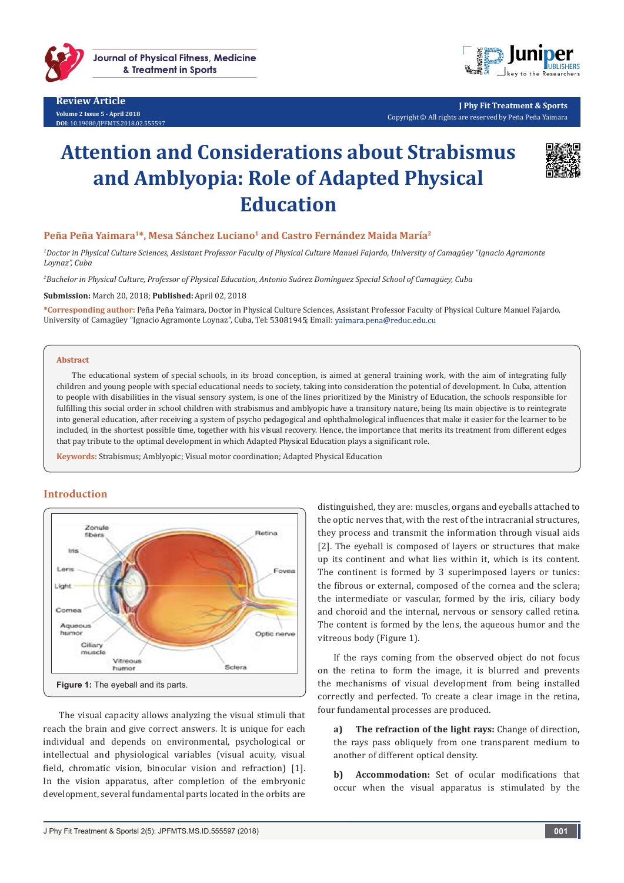

**Review Article Volume 2 Issue 5 - April 2018 DOI:** [10.19080/JPFMTS.2018.02.555597](http://dx.doi.org/10.19080/JPFMTS.2018.02.555597
)



**J Phy Fit Treatment & Sports** Copyright © All rights are reserved by Peña Peña Yaimara

# **Attention and Considerations about Strabismus and Amblyopia: Role of Adapted Physical Education**



## Peña Peña Yaimara<sup>1\*</sup>, Mesa Sánchez Luciano<sup>1</sup> and Castro Fernández Maida María<sup>2</sup>

*1 Doctor in Physical Culture Sciences, Assistant Professor Faculty of Physical Culture Manuel Fajardo, University of Camagüey "Ignacio Agramonte Loynaz", Cuba*

*2 Bachelor in Physical Culture, Professor of Physical Education, Antonio Suárez Domínguez Special School of Camagüey, Cuba*

**Submission:** March 20, 2018; **Published:** April 02, 2018

**\*Corresponding author:** Peña Peña Yaimara, Doctor in Physical Culture Sciences, Assistant Professor Faculty of Physical Culture Manuel Fajardo, University of Camagüey "Ignacio Agramonte Loynaz", Cuba, Tel: 53081945; Email: yaimara.pena@reduc.edu.cu

#### **Abstract**

The educational system of special schools, in its broad conception, is aimed at general training work, with the aim of integrating fully children and young people with special educational needs to society, taking into consideration the potential of development. In Cuba, attention to people with disabilities in the visual sensory system, is one of the lines prioritized by the Ministry of Education, the schools responsible for fulfilling this social order in school children with strabismus and amblyopic have a transitory nature, being Its main objective is to reintegrate into general education, after receiving a system of psycho pedagogical and ophthalmological influences that make it easier for the learner to be included, in the shortest possible time, together with his visual recovery. Hence, the importance that merits its treatment from different edges that pay tribute to the optimal development in which Adapted Physical Education plays a significant role.

**Keywords:** Strabismus; Amblyopic; Visual motor coordination; Adapted Physical Education

# **Introduction**



The visual capacity allows analyzing the visual stimuli that reach the brain and give correct answers. It is unique for each individual and depends on environmental, psychological or intellectual and physiological variables (visual acuity, visual field, chromatic vision, binocular vision and refraction) [1]. In the vision apparatus, after completion of the embryonic development, several fundamental parts located in the orbits are

distinguished, they are: muscles, organs and eyeballs attached to the optic nerves that, with the rest of the intracranial structures, they process and transmit the information through visual aids [2]. The eyeball is composed of layers or structures that make up its continent and what lies within it, which is its content. The continent is formed by 3 superimposed layers or tunics: the fibrous or external, composed of the cornea and the sclera; the intermediate or vascular, formed by the iris, ciliary body and choroid and the internal, nervous or sensory called retina. The content is formed by the lens, the aqueous humor and the vitreous body (Figure 1).

If the rays coming from the observed object do not focus on the retina to form the image, it is blurred and prevents the mechanisms of visual development from being installed correctly and perfected. To create a clear image in the retina, four fundamental processes are produced.

**a) The refraction of the light rays:** Change of direction, the rays pass obliquely from one transparent medium to another of different optical density.

**b) Accommodation:** Set of ocular modifications that occur when the visual apparatus is stimulated by the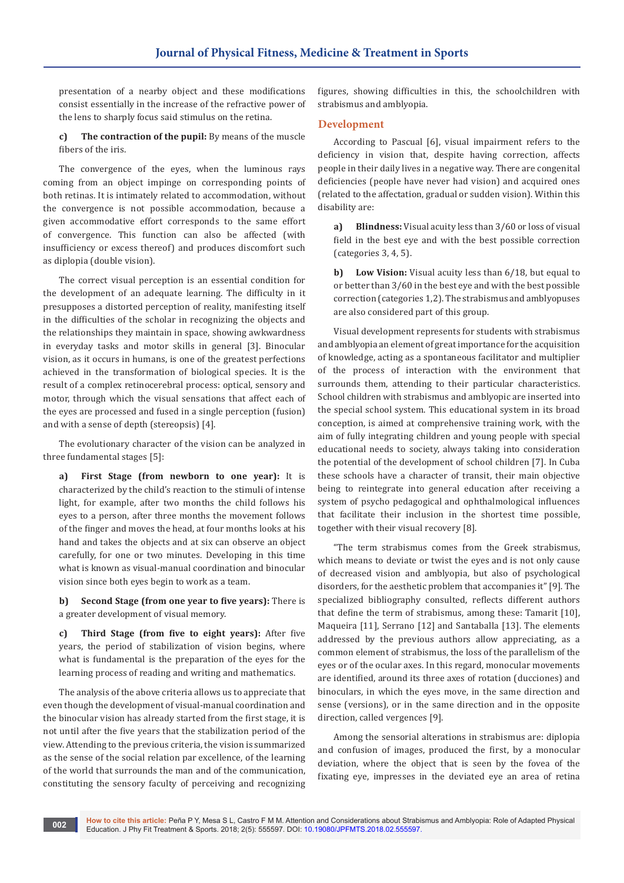presentation of a nearby object and these modifications consist essentially in the increase of the refractive power of the lens to sharply focus said stimulus on the retina.

**c) The contraction of the pupil:** By means of the muscle fibers of the iris.

The convergence of the eyes, when the luminous rays coming from an object impinge on corresponding points of both retinas. It is intimately related to accommodation, without the convergence is not possible accommodation, because a given accommodative effort corresponds to the same effort of convergence. This function can also be affected (with insufficiency or excess thereof) and produces discomfort such as diplopia (double vision).

The correct visual perception is an essential condition for the development of an adequate learning. The difficulty in it presupposes a distorted perception of reality, manifesting itself in the difficulties of the scholar in recognizing the objects and the relationships they maintain in space, showing awkwardness in everyday tasks and motor skills in general [3]. Binocular vision, as it occurs in humans, is one of the greatest perfections achieved in the transformation of biological species. It is the result of a complex retinocerebral process: optical, sensory and motor, through which the visual sensations that affect each of the eyes are processed and fused in a single perception (fusion) and with a sense of depth (stereopsis) [4].

The evolutionary character of the vision can be analyzed in three fundamental stages [5]:

**a) First Stage (from newborn to one year):** It is characterized by the child's reaction to the stimuli of intense light, for example, after two months the child follows his eyes to a person, after three months the movement follows of the finger and moves the head, at four months looks at his hand and takes the objects and at six can observe an object carefully, for one or two minutes. Developing in this time what is known as visual-manual coordination and binocular vision since both eyes begin to work as a team.

**b) Second Stage (from one year to five years):** There is a greater development of visual memory.

**c) Third Stage (from five to eight years):** After five years, the period of stabilization of vision begins, where what is fundamental is the preparation of the eyes for the learning process of reading and writing and mathematics.

The analysis of the above criteria allows us to appreciate that even though the development of visual-manual coordination and the binocular vision has already started from the first stage, it is not until after the five years that the stabilization period of the view. Attending to the previous criteria, the vision is summarized as the sense of the social relation par excellence, of the learning of the world that surrounds the man and of the communication, constituting the sensory faculty of perceiving and recognizing

figures, showing difficulties in this, the schoolchildren with strabismus and amblyopia.

## **Development**

According to Pascual [6], visual impairment refers to the deficiency in vision that, despite having correction, affects people in their daily lives in a negative way. There are congenital deficiencies (people have never had vision) and acquired ones (related to the affectation, gradual or sudden vision). Within this disability are:

**a) Blindness:** Visual acuity less than 3/60 or loss of visual field in the best eye and with the best possible correction (categories 3, 4, 5).

**b) Low Vision:** Visual acuity less than 6/18, but equal to or better than 3/60 in the best eye and with the best possible correction (categories 1,2). The strabismus and amblyopuses are also considered part of this group.

Visual development represents for students with strabismus and amblyopia an element of great importance for the acquisition of knowledge, acting as a spontaneous facilitator and multiplier of the process of interaction with the environment that surrounds them, attending to their particular characteristics. School children with strabismus and amblyopic are inserted into the special school system. This educational system in its broad conception, is aimed at comprehensive training work, with the aim of fully integrating children and young people with special educational needs to society, always taking into consideration the potential of the development of school children [7]. In Cuba these schools have a character of transit, their main objective being to reintegrate into general education after receiving a system of psycho pedagogical and ophthalmological influences that facilitate their inclusion in the shortest time possible, together with their visual recovery [8].

"The term strabismus comes from the Greek strabismus, which means to deviate or twist the eyes and is not only cause of decreased vision and amblyopia, but also of psychological disorders, for the aesthetic problem that accompanies it" [9]. The specialized bibliography consulted, reflects different authors that define the term of strabismus, among these: Tamarit [10], Maqueira [11], Serrano [12] and Santaballa [13]. The elements addressed by the previous authors allow appreciating, as a common element of strabismus, the loss of the parallelism of the eyes or of the ocular axes. In this regard, monocular movements are identified, around its three axes of rotation (ducciones) and binoculars, in which the eyes move, in the same direction and sense (versions), or in the same direction and in the opposite direction, called vergences [9].

Among the sensorial alterations in strabismus are: diplopia and confusion of images, produced the first, by a monocular deviation, where the object that is seen by the fovea of the fixating eye, impresses in the deviated eye an area of retina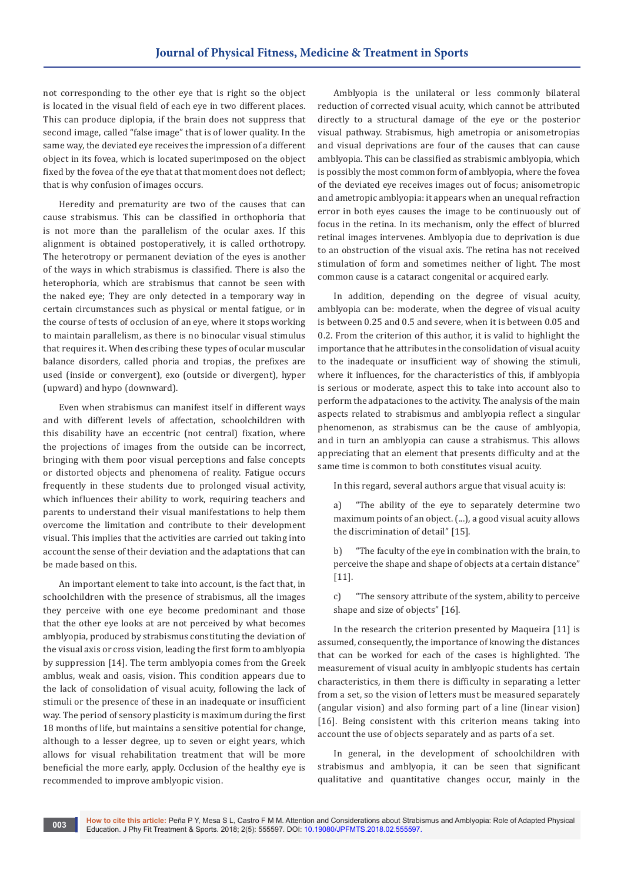not corresponding to the other eye that is right so the object is located in the visual field of each eye in two different places. This can produce diplopia, if the brain does not suppress that second image, called "false image" that is of lower quality. In the same way, the deviated eye receives the impression of a different object in its fovea, which is located superimposed on the object fixed by the fovea of the eye that at that moment does not deflect; that is why confusion of images occurs.

Heredity and prematurity are two of the causes that can cause strabismus. This can be classified in orthophoria that is not more than the parallelism of the ocular axes. If this alignment is obtained postoperatively, it is called orthotropy. The heterotropy or permanent deviation of the eyes is another of the ways in which strabismus is classified. There is also the heterophoria, which are strabismus that cannot be seen with the naked eye; They are only detected in a temporary way in certain circumstances such as physical or mental fatigue, or in the course of tests of occlusion of an eye, where it stops working to maintain parallelism, as there is no binocular visual stimulus that requires it. When describing these types of ocular muscular balance disorders, called phoria and tropias, the prefixes are used (inside or convergent), exo (outside or divergent), hyper (upward) and hypo (downward).

Even when strabismus can manifest itself in different ways and with different levels of affectation, schoolchildren with this disability have an eccentric (not central) fixation, where the projections of images from the outside can be incorrect, bringing with them poor visual perceptions and false concepts or distorted objects and phenomena of reality. Fatigue occurs frequently in these students due to prolonged visual activity, which influences their ability to work, requiring teachers and parents to understand their visual manifestations to help them overcome the limitation and contribute to their development visual. This implies that the activities are carried out taking into account the sense of their deviation and the adaptations that can be made based on this.

An important element to take into account, is the fact that, in schoolchildren with the presence of strabismus, all the images they perceive with one eye become predominant and those that the other eye looks at are not perceived by what becomes amblyopia, produced by strabismus constituting the deviation of the visual axis or cross vision, leading the first form to amblyopia by suppression [14]. The term amblyopia comes from the Greek amblus, weak and oasis, vision. This condition appears due to the lack of consolidation of visual acuity, following the lack of stimuli or the presence of these in an inadequate or insufficient way. The period of sensory plasticity is maximum during the first 18 months of life, but maintains a sensitive potential for change, although to a lesser degree, up to seven or eight years, which allows for visual rehabilitation treatment that will be more beneficial the more early, apply. Occlusion of the healthy eye is recommended to improve amblyopic vision.

Amblyopia is the unilateral or less commonly bilateral reduction of corrected visual acuity, which cannot be attributed directly to a structural damage of the eye or the posterior visual pathway. Strabismus, high ametropia or anisometropias and visual deprivations are four of the causes that can cause amblyopia. This can be classified as strabismic amblyopia, which is possibly the most common form of amblyopia, where the fovea of the deviated eye receives images out of focus; anisometropic and ametropic amblyopia: it appears when an unequal refraction error in both eyes causes the image to be continuously out of focus in the retina. In its mechanism, only the effect of blurred retinal images intervenes. Amblyopia due to deprivation is due to an obstruction of the visual axis. The retina has not received stimulation of form and sometimes neither of light. The most common cause is a cataract congenital or acquired early.

In addition, depending on the degree of visual acuity, amblyopia can be: moderate, when the degree of visual acuity is between 0.25 and 0.5 and severe, when it is between 0.05 and 0.2. From the criterion of this author, it is valid to highlight the importance that he attributes in the consolidation of visual acuity to the inadequate or insufficient way of showing the stimuli, where it influences, for the characteristics of this, if amblyopia is serious or moderate, aspect this to take into account also to perform the adpataciones to the activity. The analysis of the main aspects related to strabismus and amblyopia reflect a singular phenomenon, as strabismus can be the cause of amblyopia, and in turn an amblyopia can cause a strabismus. This allows appreciating that an element that presents difficulty and at the same time is common to both constitutes visual acuity.

In this regard, several authors argue that visual acuity is:

a) "The ability of the eye to separately determine two maximum points of an object. (...), a good visual acuity allows the discrimination of detail" [15].

b) "The faculty of the eye in combination with the brain, to perceive the shape and shape of objects at a certain distance"  $[11]$ .

c) "The sensory attribute of the system, ability to perceive shape and size of objects" [16].

In the research the criterion presented by Maqueira [11] is assumed, consequently, the importance of knowing the distances that can be worked for each of the cases is highlighted. The measurement of visual acuity in amblyopic students has certain characteristics, in them there is difficulty in separating a letter from a set, so the vision of letters must be measured separately (angular vision) and also forming part of a line (linear vision) [16]. Being consistent with this criterion means taking into account the use of objects separately and as parts of a set.

In general, in the development of schoolchildren with strabismus and amblyopia, it can be seen that significant qualitative and quantitative changes occur, mainly in the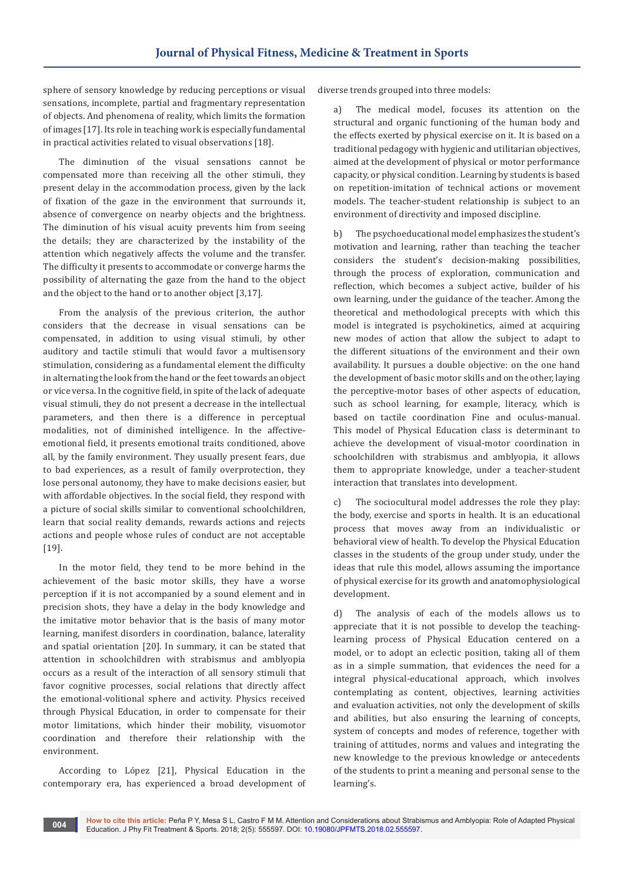sphere of sensory knowledge by reducing perceptions or visual sensations, incomplete, partial and fragmentary representation of objects. And phenomena of reality, which limits the formation of images [17]. Its role in teaching work is especially fundamental in practical activities related to visual observations [18].

The diminution of the visual sensations cannot be compensated more than receiving all the other stimuli, they present delay in the accommodation process, given by the lack of fixation of the gaze in the environment that surrounds it, absence of convergence on nearby objects and the brightness. The diminution of his visual acuity prevents him from seeing the details; they are characterized by the instability of the attention which negatively affects the volume and the transfer. The difficulty it presents to accommodate or converge harms the possibility of alternating the gaze from the hand to the object and the object to the hand or to another object [3,17].

From the analysis of the previous criterion, the author considers that the decrease in visual sensations can be compensated, in addition to using visual stimuli, by other auditory and tactile stimuli that would favor a multisensory stimulation, considering as a fundamental element the difficulty in alternating the look from the hand or the feet towards an object or vice versa. In the cognitive field, in spite of the lack of adequate visual stimuli, they do not present a decrease in the intellectual parameters, and then there is a difference in perceptual modalities, not of diminished intelligence. In the affectiveemotional field, it presents emotional traits conditioned, above all, by the family environment. They usually present fears, due to bad experiences, as a result of family overprotection, they lose personal autonomy, they have to make decisions easier, but with affordable objectives. In the social field, they respond with a picture of social skills similar to conventional schoolchildren, learn that social reality demands, rewards actions and rejects actions and people whose rules of conduct are not acceptable [19].

In the motor field, they tend to be more behind in the achievement of the basic motor skills, they have a worse perception if it is not accompanied by a sound element and in precision shots, they have a delay in the body knowledge and the imitative motor behavior that is the basis of many motor learning, manifest disorders in coordination, balance, laterality and spatial orientation [20]. In summary, it can be stated that attention in schoolchildren with strabismus and amblyopia occurs as a result of the interaction of all sensory stimuli that favor cognitive processes, social relations that directly affect the emotional-volitional sphere and activity. Physics received through Physical Education, in order to compensate for their motor limitations, which hinder their mobility, visuomotor coordination and therefore their relationship with the environment.

According to López [21], Physical Education in the contemporary era, has experienced a broad development of diverse trends grouped into three models:

a) The medical model, focuses its attention on the structural and organic functioning of the human body and the effects exerted by physical exercise on it. It is based on a traditional pedagogy with hygienic and utilitarian objectives, aimed at the development of physical or motor performance capacity, or physical condition. Learning by students is based on repetition-imitation of technical actions or movement models. The teacher-student relationship is subject to an environment of directivity and imposed discipline.

b) The psychoeducational model emphasizes the student's motivation and learning, rather than teaching the teacher considers the student's decision-making possibilities, through the process of exploration, communication and reflection, which becomes a subject active, builder of his own learning, under the guidance of the teacher. Among the theoretical and methodological precepts with which this model is integrated is psychokinetics, aimed at acquiring new modes of action that allow the subject to adapt to the different situations of the environment and their own availability. It pursues a double objective: on the one hand the development of basic motor skills and on the other, laying the perceptive-motor bases of other aspects of education, such as school learning, for example, literacy, which is based on tactile coordination Fine and oculus-manual. This model of Physical Education class is determinant to achieve the development of visual-motor coordination in schoolchildren with strabismus and amblyopia, it allows them to appropriate knowledge, under a teacher-student interaction that translates into development.

c) The sociocultural model addresses the role they play: the body, exercise and sports in health. It is an educational process that moves away from an individualistic or behavioral view of health. To develop the Physical Education classes in the students of the group under study, under the ideas that rule this model, allows assuming the importance of physical exercise for its growth and anatomophysiological development.

d) The analysis of each of the models allows us to appreciate that it is not possible to develop the teachinglearning process of Physical Education centered on a model, or to adopt an eclectic position, taking all of them as in a simple summation, that evidences the need for a integral physical-educational approach, which involves contemplating as content, objectives, learning activities and evaluation activities, not only the development of skills and abilities, but also ensuring the learning of concepts, system of concepts and modes of reference, together with training of attitudes, norms and values and integrating the new knowledge to the previous knowledge or antecedents of the students to print a meaning and personal sense to the learning's.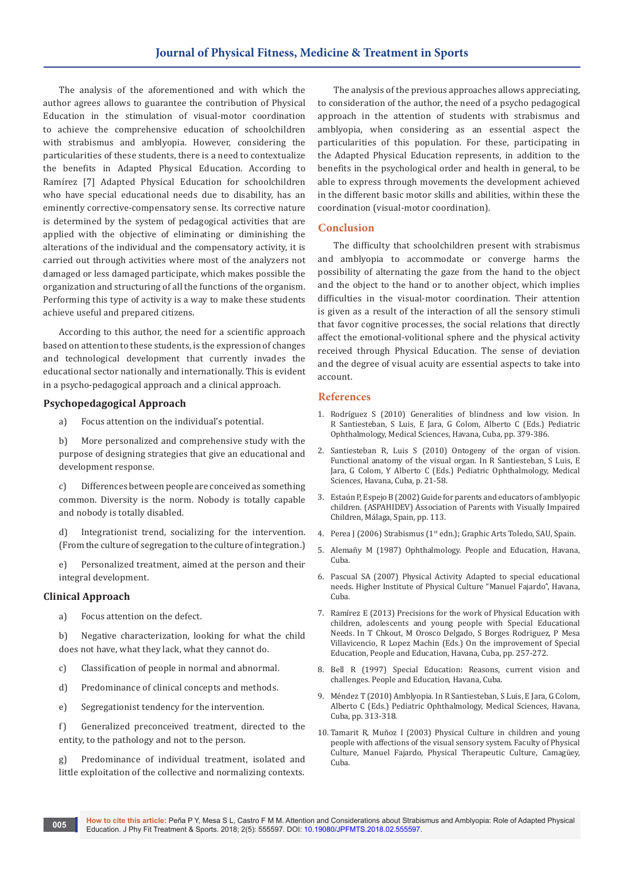The analysis of the aforementioned and with which the author agrees allows to guarantee the contribution of Physical Education in the stimulation of visual-motor coordination to achieve the comprehensive education of schoolchildren with strabismus and amblyopia. However, considering the particularities of these students, there is a need to contextualize the benefits in Adapted Physical Education. According to Ramírez [7] Adapted Physical Education for schoolchildren who have special educational needs due to disability, has an eminently corrective-compensatory sense. Its corrective nature is determined by the system of pedagogical activities that are applied with the objective of eliminating or diminishing the alterations of the individual and the compensatory activity, it is carried out through activities where most of the analyzers not damaged or less damaged participate, which makes possible the organization and structuring of all the functions of the organism. Performing this type of activity is a way to make these students achieve useful and prepared citizens.

According to this author, the need for a scientific approach based on attention to these students, is the expression of changes and technological development that currently invades the educational sector nationally and internationally. This is evident in a psycho-pedagogical approach and a clinical approach.

#### **Psychopedagogical Approach**

a) Focus attention on the individual's potential.

b) More personalized and comprehensive study with the purpose of designing strategies that give an educational and development response.

c) Differences between people are conceived as something common. Diversity is the norm. Nobody is totally capable and nobody is totally disabled.

d) Integrationist trend, socializing for the intervention. (From the culture of segregation to the culture of integration.)

e) Personalized treatment, aimed at the person and their integral development.

#### **Clinical Approach**

a) Focus attention on the defect.

b) Negative characterization, looking for what the child does not have, what they lack, what they cannot do.

- c) Classification of people in normal and abnormal.
- d) Predominance of clinical concepts and methods.
- e) Segregationist tendency for the intervention.

f) Generalized preconceived treatment, directed to the entity, to the pathology and not to the person.

g) Predominance of individual treatment, isolated and little exploitation of the collective and normalizing contexts.

The analysis of the previous approaches allows appreciating, to consideration of the author, the need of a psycho pedagogical approach in the attention of students with strabismus and amblyopia, when considering as an essential aspect the particularities of this population. For these, participating in the Adapted Physical Education represents, in addition to the benefits in the psychological order and health in general, to be able to express through movements the development achieved in the different basic motor skills and abilities, within these the coordination (visual-motor coordination).

#### **Conclusion**

The difficulty that schoolchildren present with strabismus and amblyopia to accommodate or converge harms the possibility of alternating the gaze from the hand to the object and the object to the hand or to another object, which implies difficulties in the visual-motor coordination. Their attention is given as a result of the interaction of all the sensory stimuli that favor cognitive processes, the social relations that directly affect the emotional-volitional sphere and the physical activity received through Physical Education. The sense of deviation and the degree of visual acuity are essential aspects to take into account.

#### **References**

- 1. Rodríguez S (2010) Generalities of blindness and low vision. In R Santiesteban, S Luis, E Jara, G Colom, Alberto C (Eds.) Pediatric Ophthalmology, Medical Sciences, Havana, Cuba, pp. 379-386.
- 2. Santiesteban R, Luis S (2010) Ontogeny of the organ of vision. Functional anatomy of the visual organ. In R Santiesteban, S Luis, E Jara, G Colom, Y Alberto C (Eds.) Pediatric Ophthalmology, Medical Sciences, Havana, Cuba, p. 21-58.
- 3. [Estaún P, Espejo B \(2002\) Guide for parents and educators of amblyopic](https://www.siis.net/eu/actualidad/hemeroteca/Record/39213/)  [children. \(ASPAHIDEV\) Association of Parents with Visually Impaired](https://www.siis.net/eu/actualidad/hemeroteca/Record/39213/)  [Children, Málaga, Spain, pp. 113.](https://www.siis.net/eu/actualidad/hemeroteca/Record/39213/)
- 4. Perea J (2006) Strabismus (1<sup>st</sup> edn.); Graphic Arts Toledo, SAU, Spain.
- 5. Alemañy M (1987) Ophthalmology. People and Education, Havana, Cuba.
- 6. Pascual SA (2007) Physical Activity Adapted to special educational needs. Higher Institute of Physical Culture "Manuel Fajardo", Havana, Cuba.
- 7. Ramírez E (2013) Precisions for the work of Physical Education with children, adolescents and young people with Special Educational Needs. In T Chkout, M Orosco Delgado, S Borges Rodriguez, P Mesa Villavicencio, R Lopez Machin (Eds.) On the improvement of Special Education, People and Education, Havana, Cuba, pp. 257-272.
- 8. Bell R (1997) Special Education: Reasons, current vision and challenges. People and Education, Havana, Cuba.
- 9. Méndez T (2010) Amblyopia. In R Santiesteban, S Luis, E Jara, G Colom, Alberto C (Eds.) Pediatric Ophthalmology, Medical Sciences, Havana, Cuba, pp. 313-318.
- 10. Tamarit R, Muñoz I (2003) Physical Culture in children and young people with affections of the visual sensory system. Faculty of Physical Culture, Manuel Fajardo, Physical Therapeutic Culture, Camagüey, Cuba.